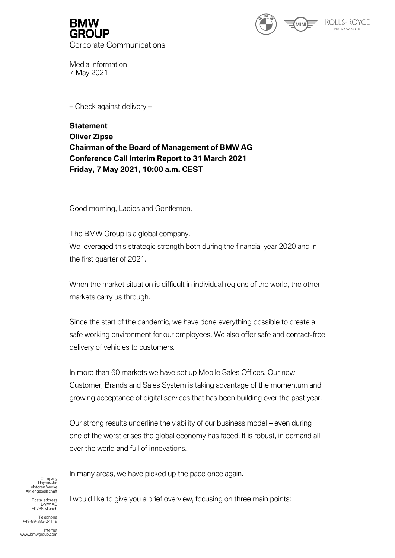

Media Information 7 May 2021

– Check against delivery –

**Statement Oliver Zipse Chairman of the Board of Management of BMW AG Conference Call Interim Report to 31 March 2021 Friday, 7 May 2021, 10:00 a.m. CEST**

Good morning, Ladies and Gentlemen.

The BMW Group is a global company. We leveraged this strategic strength both during the financial year 2020 and in the first quarter of 2021.

When the market situation is difficult in individual regions of the world, the other markets carry us through.

Since the start of the pandemic, we have done everything possible to create a safe working environment for our employees. We also offer safe and contact-free delivery of vehicles to customers.

In more than 60 markets we have set up Mobile Sales Offices. Our new Customer, Brands and Sales System is taking advantage of the momentum and growing acceptance of digital services that has been building over the past year.

Our strong results underline the viability of our business model – even during one of the worst crises the global economy has faced. It is robust, in demand all over the world and full of innovations.

**Company** Bayerische Motoren Werke Aktiengesellschaft In many areas, we have picked up the pace once again.

Postal address araddiess<br>BMW AG 80788 Munich

Telephone +49-89-382-24118

Internet www.bmwgroup.com I would like to give you a brief overview, focusing on three main points: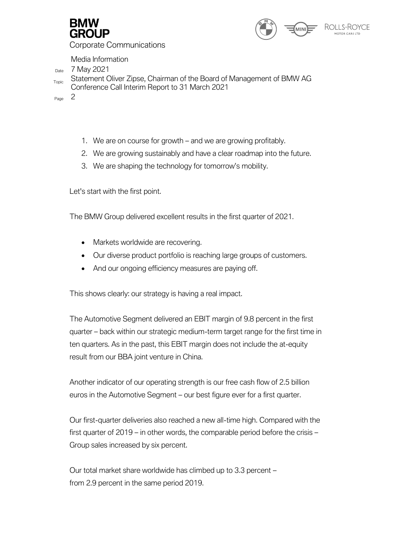



Media Information

Date 7 May 2021

<sub>Topic</sub> Statement Oliver Zipse, Chairman of the Board of Management of BMW AG Conference Call Interim Report to 31 March 2021

Page 2

- 1. We are on course for growth and we are growing profitably.
- 2. We are growing sustainably and have a clear roadmap into the future.
- 3. We are shaping the technology for tomorrow's mobility.

Let's start with the first point.

The BMW Group delivered excellent results in the first quarter of 2021.

- Markets worldwide are recovering.
- Our diverse product portfolio is reaching large groups of customers.
- And our ongoing efficiency measures are paying off.

This shows clearly: our strategy is having a real impact.

The Automotive Segment delivered an EBIT margin of 9.8 percent in the first quarter – back within our strategic medium-term target range for the first time in ten quarters. As in the past, this EBIT margin does not include the at-equity result from our BBA joint venture in China.

Another indicator of our operating strength is our free cash flow of 2.5 billion euros in the Automotive Segment – our best figure ever for a first quarter.

Our first-quarter deliveries also reached a new all-time high. Compared with the first quarter of 2019 – in other words, the comparable period before the crisis – Group sales increased by six percent.

Our total market share worldwide has climbed up to 3.3 percent – from 2.9 percent in the same period 2019.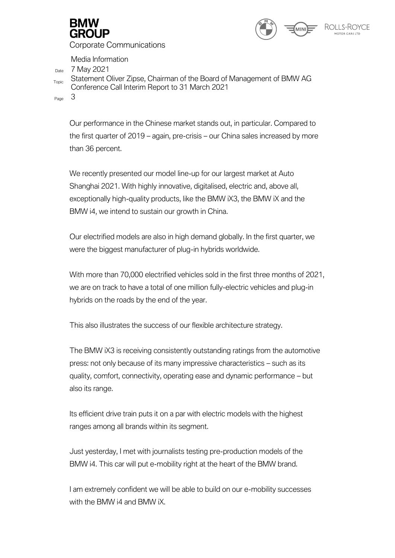



Media Information

 $Date$  7 May 2021

<sub>Topic</sub> Statement Oliver Zipse, Chairman of the Board of Management of BMW AG Conference Call Interim Report to 31 March 2021

Page 3

Our performance in the Chinese market stands out, in particular. Compared to the first quarter of 2019 – again, pre-crisis – our China sales increased by more than 36 percent.

We recently presented our model line-up for our largest market at Auto Shanghai 2021. With highly innovative, digitalised, electric and, above all, exceptionally high-quality products, like the BMW iX3, the BMW iX and the BMW i4, we intend to sustain our growth in China.

Our electrified models are also in high demand globally. In the first quarter, we were the biggest manufacturer of plug-in hybrids worldwide.

With more than 70,000 electrified vehicles sold in the first three months of 2021, we are on track to have a total of one million fully-electric vehicles and plug-in hybrids on the roads by the end of the year.

This also illustrates the success of our flexible architecture strategy.

The BMW iX3 is receiving consistently outstanding ratings from the automotive press: not only because of its many impressive characteristics – such as its quality, comfort, connectivity, operating ease and dynamic performance – but also its range.

Its efficient drive train puts it on a par with electric models with the highest ranges among all brands within its segment.

Just yesterday, I met with journalists testing pre-production models of the BMW i4. This car will put e-mobility right at the heart of the BMW brand.

I am extremely confident we will be able to build on our e-mobility successes with the BMW i4 and BMW iX.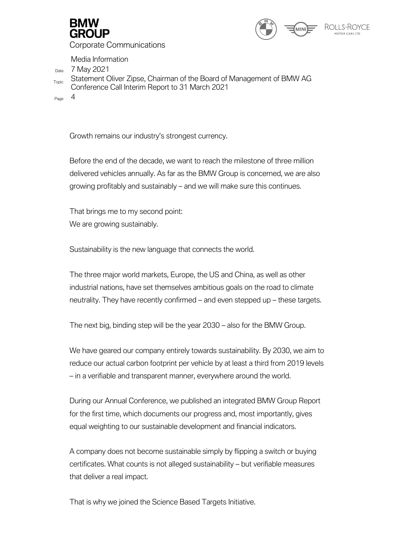



Media Information

 $Date$  7 May 2021

<sub>Topic</sub> Statement Oliver Zipse, Chairman of the Board of Management of BMW AG Conference Call Interim Report to 31 March 2021

Page 4

Growth remains our industry's strongest currency.

Before the end of the decade, we want to reach the milestone of three million delivered vehicles annually. As far as the BMW Group is concerned, we are also growing profitably and sustainably – and we will make sure this continues.

That brings me to my second point: We are growing sustainably.

Sustainability is the new language that connects the world.

The three major world markets, Europe, the US and China, as well as other industrial nations, have set themselves ambitious goals on the road to climate neutrality. They have recently confirmed – and even stepped up – these targets.

The next big, binding step will be the year 2030 – also for the BMW Group.

We have geared our company entirely towards sustainability. By 2030, we aim to reduce our actual carbon footprint per vehicle by at least a third from 2019 levels – in a verifiable and transparent manner, everywhere around the world.

During our Annual Conference, we published an integrated BMW Group Report for the first time, which documents our progress and, most importantly, gives equal weighting to our sustainable development and financial indicators.

A company does not become sustainable simply by flipping a switch or buying certificates. What counts is not alleged sustainability – but verifiable measures that deliver a real impact.

That is why we joined the Science Based Targets Initiative.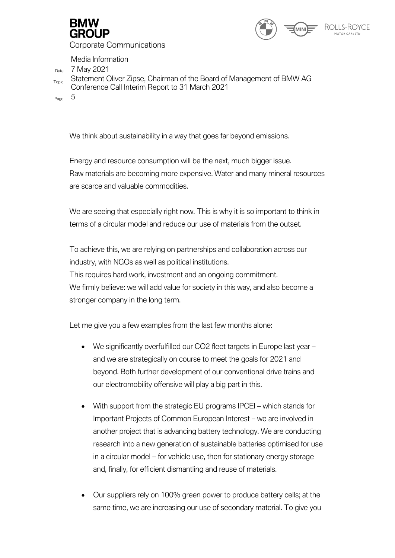



Media Information

 $Date$  7 May 2021

<sub>Topic</sub> Statement Oliver Zipse, Chairman of the Board of Management of BMW AG Conference Call Interim Report to 31 March 2021

Page 5

We think about sustainability in a way that goes far beyond emissions.

Energy and resource consumption will be the next, much bigger issue. Raw materials are becoming more expensive. Water and many mineral resources are scarce and valuable commodities.

We are seeing that especially right now. This is why it is so important to think in terms of a circular model and reduce our use of materials from the outset.

To achieve this, we are relying on partnerships and collaboration across our industry, with NGOs as well as political institutions.

This requires hard work, investment and an ongoing commitment.

We firmly believe: we will add value for society in this way, and also become a stronger company in the long term.

Let me give you a few examples from the last few months alone:

- We significantly overfulfilled our CO2 fleet targets in Europe last year and we are strategically on course to meet the goals for 2021 and beyond. Both further development of our conventional drive trains and our electromobility offensive will play a big part in this.
- With support from the strategic EU programs IPCEI which stands for Important Projects of Common European Interest – we are involved in another project that is advancing battery technology. We are conducting research into a new generation of sustainable batteries optimised for use in a circular model – for vehicle use, then for stationary energy storage and, finally, for efficient dismantling and reuse of materials.
- Our suppliers rely on 100% green power to produce battery cells; at the same time, we are increasing our use of secondary material. To give you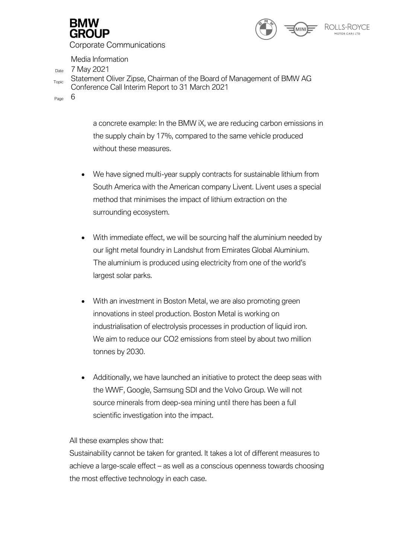



Media Information

Date 7 May 2021

<sub>Topic</sub> Statement Oliver Zipse, Chairman of the Board of Management of BMW AG Conference Call Interim Report to 31 March 2021

Page 6

a concrete example: In the BMW iX, we are reducing carbon emissions in the supply chain by 17%, compared to the same vehicle produced without these measures.

- We have signed multi-year supply contracts for sustainable lithium from South America with the American company Livent. Livent uses a special method that minimises the impact of lithium extraction on the surrounding ecosystem.
- With immediate effect, we will be sourcing half the aluminium needed by our light metal foundry in Landshut from Emirates Global Aluminium. The aluminium is produced using electricity from one of the world's largest solar parks.
- With an investment in Boston Metal, we are also promoting green innovations in steel production. Boston Metal is working on industrialisation of electrolysis processes in production of liquid iron. We aim to reduce our CO2 emissions from steel by about two million tonnes by 2030.
- Additionally, we have launched an initiative to protect the deep seas with the WWF, Google, Samsung SDI and the Volvo Group. We will not source minerals from deep-sea mining until there has been a full scientific investigation into the impact.

All these examples show that:

Sustainability cannot be taken for granted. It takes a lot of different measures to achieve a large-scale effect – as well as a conscious openness towards choosing the most effective technology in each case.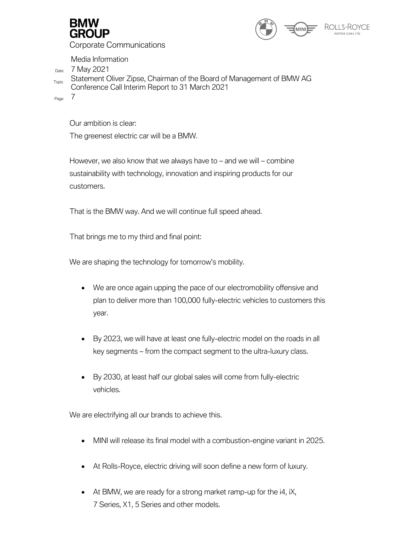



Media Information

Date 7 May 2021

<sub>Topic</sub> Statement Oliver Zipse, Chairman of the Board of Management of BMW AG Conference Call Interim Report to 31 March 2021

Page 7

Our ambition is clear:

The greenest electric car will be a BMW.

However, we also know that we always have to – and we will – combine sustainability with technology, innovation and inspiring products for our customers.

That is the BMW way. And we will continue full speed ahead.

That brings me to my third and final point:

We are shaping the technology for tomorrow's mobility.

- We are once again upping the pace of our electromobility offensive and plan to deliver more than 100,000 fully-electric vehicles to customers this year.
- By 2023, we will have at least one fully-electric model on the roads in all key segments – from the compact segment to the ultra-luxury class.
- By 2030, at least half our global sales will come from fully-electric vehicles.

We are electrifying all our brands to achieve this.

- MINI will release its final model with a combustion-engine variant in 2025.
- At Rolls-Royce, electric driving will soon define a new form of luxury.
- At BMW, we are ready for a strong market ramp-up for the i4, iX, 7 Series, X1, 5 Series and other models.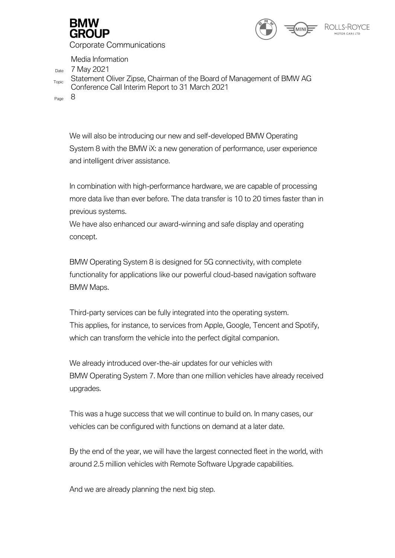



Media Information

Date 7 May 2021

<sub>Topic</sub> Statement Oliver Zipse, Chairman of the Board of Management of BMW AG Conference Call Interim Report to 31 March 2021

Page 8

We will also be introducing our new and self-developed BMW Operating System 8 with the BMW iX: a new generation of performance, user experience and intelligent driver assistance.

In combination with high-performance hardware, we are capable of processing more data live than ever before. The data transfer is 10 to 20 times faster than in previous systems.

We have also enhanced our award-winning and safe display and operating concept.

BMW Operating System 8 is designed for 5G connectivity, with complete functionality for applications like our powerful cloud-based navigation software BMW Maps.

Third-party services can be fully integrated into the operating system. This applies, for instance, to services from Apple, Google, Tencent and Spotify, which can transform the vehicle into the perfect digital companion.

We already introduced over-the-air updates for our vehicles with BMW Operating System 7. More than one million vehicles have already received upgrades.

This was a huge success that we will continue to build on. In many cases, our vehicles can be configured with functions on demand at a later date.

By the end of the year, we will have the largest connected fleet in the world, with around 2.5 million vehicles with Remote Software Upgrade capabilities.

And we are already planning the next big step.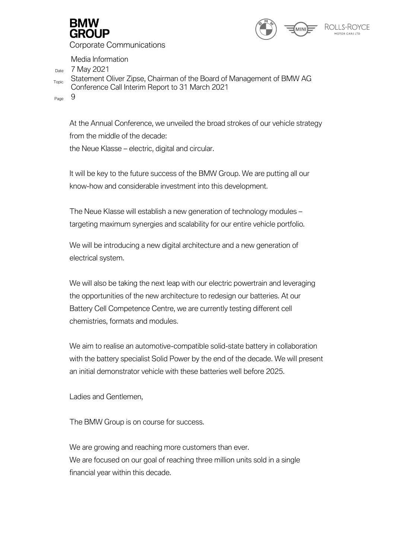



Media Information

Date 7 May 2021

<sub>Topic</sub> Statement Oliver Zipse, Chairman of the Board of Management of BMW AG Conference Call Interim Report to 31 March 2021

Page 9

At the Annual Conference, we unveiled the broad strokes of our vehicle strategy from the middle of the decade: the Neue Klasse – electric, digital and circular.

It will be key to the future success of the BMW Group. We are putting all our know-how and considerable investment into this development.

The Neue Klasse will establish a new generation of technology modules – targeting maximum synergies and scalability for our entire vehicle portfolio.

We will be introducing a new digital architecture and a new generation of electrical system.

We will also be taking the next leap with our electric powertrain and leveraging the opportunities of the new architecture to redesign our batteries. At our Battery Cell Competence Centre, we are currently testing different cell chemistries, formats and modules.

We aim to realise an automotive-compatible solid-state battery in collaboration with the battery specialist Solid Power by the end of the decade. We will present an initial demonstrator vehicle with these batteries well before 2025.

Ladies and Gentlemen,

The BMW Group is on course for success.

We are growing and reaching more customers than ever. We are focused on our goal of reaching three million units sold in a single financial year within this decade.